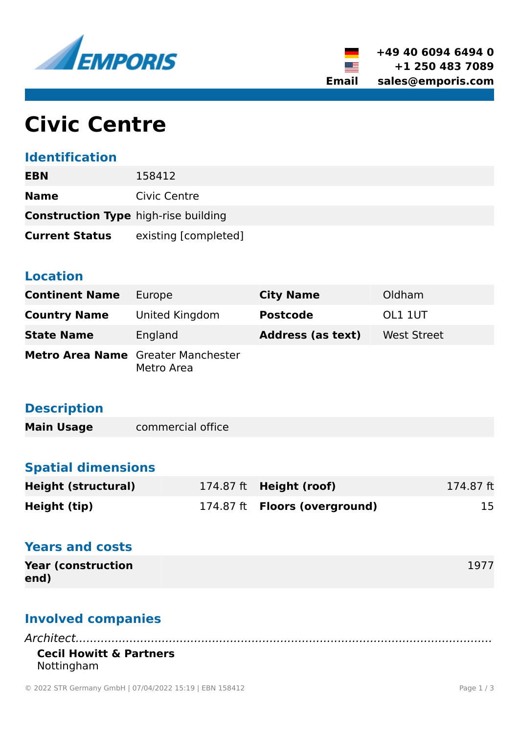



# **Civic Centre**

#### **Identification**

| <b>EBN</b>                                  | 158412               |
|---------------------------------------------|----------------------|
| <b>Name</b>                                 | Civic Centre         |
| <b>Construction Type</b> high-rise building |                      |
| <b>Current Status</b>                       | existing [completed] |

#### **Location**

| <b>Continent Name</b>                     | Europe         | <b>City Name</b>         | Oldham             |
|-------------------------------------------|----------------|--------------------------|--------------------|
| <b>Country Name</b>                       | United Kingdom | <b>Postcode</b>          | OL1 1UT            |
| <b>State Name</b>                         | England        | <b>Address (as text)</b> | <b>West Street</b> |
| <b>Metro Area Name</b> Greater Manchester | Metro Area     |                          |                    |

#### **Description**

**Main Usage** commercial office

# **Spatial dimensions**

| <b>Height (structural)</b> | 174.87 ft $Height (root)$            | 174.87 ft |
|----------------------------|--------------------------------------|-----------|
| Height (tip)               | 174.87 ft <b>Floors (overground)</b> | 15        |

## **Years and costs**

| <b>Year (construction)</b> | 1977 |
|----------------------------|------|
| end)                       |      |

# **Involved companies**

*Architect....................................................................................................................* **Cecil Howitt & Partners** Nottingham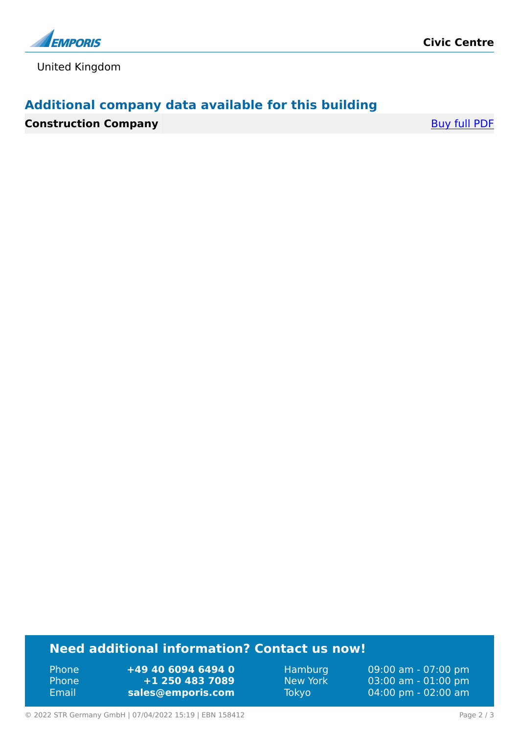

United Kingdom

## **Additional company data available for this building**

**Construction Company** [Buy full PDF](https://www.emporis.com/buildings/158412/civic-centre-oldham-united-kingdom?buypdf=)

#### **Need additional information? Contact us now!**

Phone **+49 40 6094 6494 0** Phone **+1 250 483 7089** Email **<sales@emporis.com>**

Hamburg 09:00 am - 07:00 pm New York 03:00 am - 01:00 pm<br>Tokyo 04:00 pm - 02:00 am 04:00 pm - 02:00 am